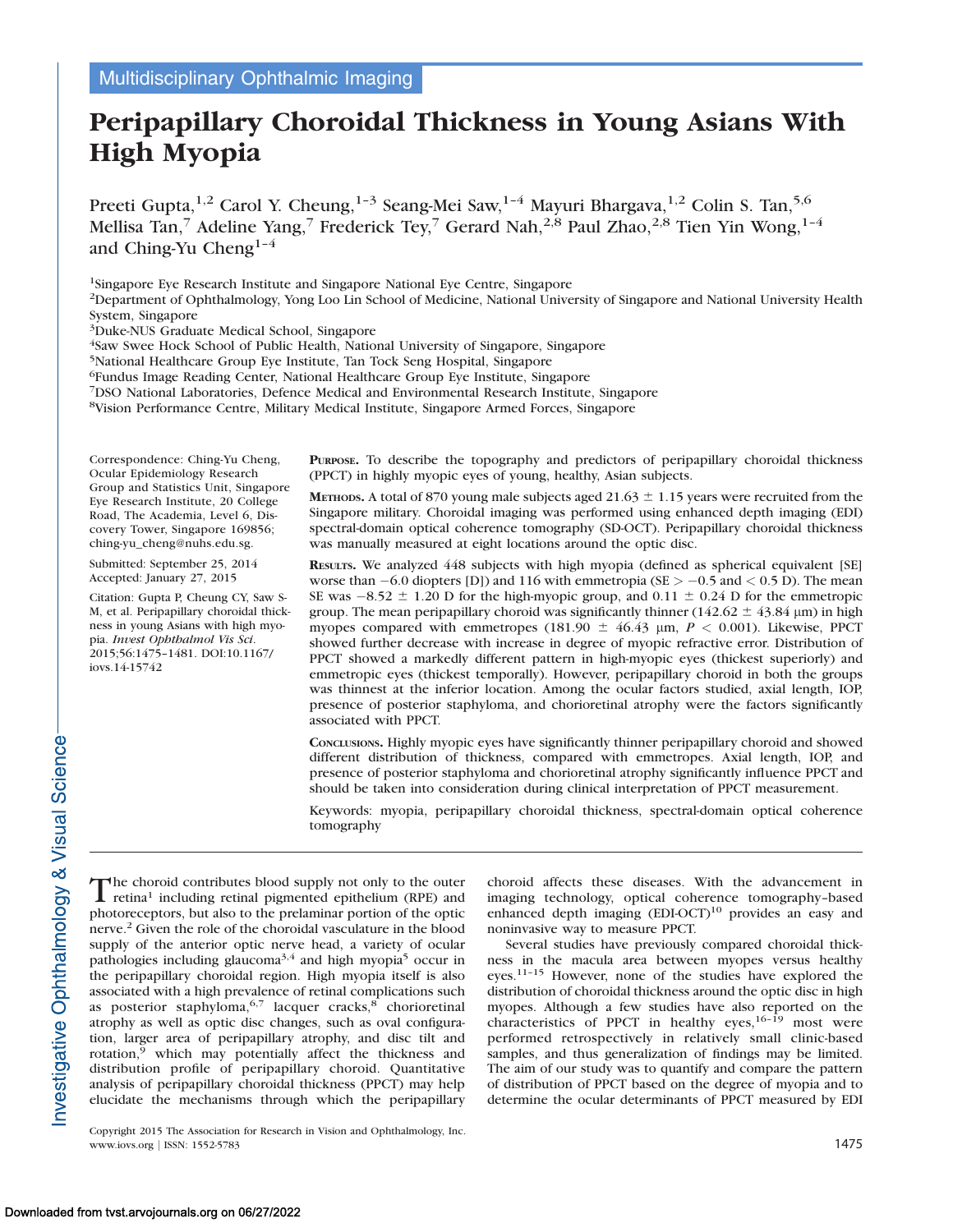# Peripapillary Choroidal Thickness in Young Asians With High Myopia

Preeti Gupta,<sup>1,2</sup> Carol Y. Cheung,<sup>1-3</sup> Seang-Mei Saw,<sup>1-4</sup> Mayuri Bhargava,<sup>1,2</sup> Colin S. Tan,<sup>5,6</sup> Mellisa Tan,<sup>7</sup> Adeline Yang,<sup>7</sup> Frederick Tey,<sup>7</sup> Gerard Nah,<sup>2,8</sup> Paul Zhao,<sup>2,8</sup> Tien Yin Wong,<sup>1-4</sup> and Ching-Yu Cheng<sup>1-4</sup>

1Singapore Eye Research Institute and Singapore National Eye Centre, Singapore

2Department of Ophthalmology, Yong Loo Lin School of Medicine, National University of Singapore and National University Health System, Singapore

3Duke-NUS Graduate Medical School, Singapore

4Saw Swee Hock School of Public Health, National University of Singapore, Singapore

5National Healthcare Group Eye Institute, Tan Tock Seng Hospital, Singapore

6Fundus Image Reading Center, National Healthcare Group Eye Institute, Singapore

7DSO National Laboratories, Defence Medical and Environmental Research Institute, Singapore

8Vision Performance Centre, Military Medical Institute, Singapore Armed Forces, Singapore

Correspondence: Ching-Yu Cheng, Ocular Epidemiology Research Group and Statistics Unit, Singapore Eye Research Institute, 20 College Road, The Academia, Level 6, Discovery Tower, Singapore 169856; ching-yu\_cheng@nuhs.edu.sg.

Submitted: September 25, 2014 Accepted: January 27, 2015

Citation: Gupta P, Cheung CY, Saw S-M, et al. Peripapillary choroidal thickness in young Asians with high myopia. Invest Ophthalmol Vis Sci. 2015;56:1475–1481. DOI:10.1167/ iovs.14-15742

PURPOSE. To describe the topography and predictors of peripapillary choroidal thickness (PPCT) in highly myopic eyes of young, healthy, Asian subjects.

METHODS. A total of 870 young male subjects aged 21.63  $\pm$  1.15 years were recruited from the Singapore military. Choroidal imaging was performed using enhanced depth imaging (EDI) spectral-domain optical coherence tomography (SD-OCT). Peripapillary choroidal thickness was manually measured at eight locations around the optic disc.

RESULTS. We analyzed 448 subjects with high myopia (defined as spherical equivalent [SE] worse than  $-6.0$  diopters [D]) and 116 with emmetropia (SE  $> -0.5$  and  $< 0.5$  D). The mean SE was  $-8.52 \pm 1.20$  D for the high-myopic group, and 0.11  $\pm$  0.24 D for the emmetropic group. The mean peripapillary choroid was significantly thinner ( $142.62 \pm 43.84$  µm) in high myopes compared with emmetropes (181.90  $\pm$  46.43 µm, P < 0.001). Likewise, PPCT showed further decrease with increase in degree of myopic refractive error. Distribution of PPCT showed a markedly different pattern in high-myopic eyes (thickest superiorly) and emmetropic eyes (thickest temporally). However, peripapillary choroid in both the groups was thinnest at the inferior location. Among the ocular factors studied, axial length, IOP, presence of posterior staphyloma, and chorioretinal atrophy were the factors significantly associated with PPCT.

CONCLUSIONS. Highly myopic eyes have significantly thinner peripapillary choroid and showed different distribution of thickness, compared with emmetropes. Axial length, IOP, and presence of posterior staphyloma and chorioretinal atrophy significantly influence PPCT and should be taken into consideration during clinical interpretation of PPCT measurement.

Keywords: myopia, peripapillary choroidal thickness, spectral-domain optical coherence tomography

The choroid contributes blood supply not only to the outer<br>retina<sup>1</sup> including retinal pigmented epithelium (RPE) and retina<sup>1</sup> including retinal pigmented epithelium (RPE) and photoreceptors, but also to the prelaminar portion of the optic nerve.2 Given the role of the choroidal vasculature in the blood supply of the anterior optic nerve head, a variety of ocular pathologies including glaucoma<sup>3,4</sup> and high myopia<sup>5</sup> occur in the peripapillary choroidal region. High myopia itself is also associated with a high prevalence of retinal complications such as posterior staphyloma,  $6.7$  lacquer cracks, $8$  chorioretinal atrophy as well as optic disc changes, such as oval configuration, larger area of peripapillary atrophy, and disc tilt and rotation,<sup>9</sup> which may potentially affect the thickness and distribution profile of peripapillary choroid. Quantitative analysis of peripapillary choroidal thickness (PPCT) may help elucidate the mechanisms through which the peripapillary

Copyright 2015 The Association for Research in Vision and Ophthalmology, Inc. www.iovs.org | ISSN: 1552-5783 1475

choroid affects these diseases. With the advancement in imaging technology, optical coherence tomography–based enhanced depth imaging (EDI-OCT)<sup>10</sup> provides an easy and noninvasive way to measure PPCT.

Several studies have previously compared choroidal thickness in the macula area between myopes versus healthy eyes.11–15 However, none of the studies have explored the distribution of choroidal thickness around the optic disc in high myopes. Although a few studies have also reported on the characteristics of PPCT in healthy eyes,  $16-\overline{19}$  most were performed retrospectively in relatively small clinic-based samples, and thus generalization of findings may be limited. The aim of our study was to quantify and compare the pattern of distribution of PPCT based on the degree of myopia and to determine the ocular determinants of PPCT measured by EDI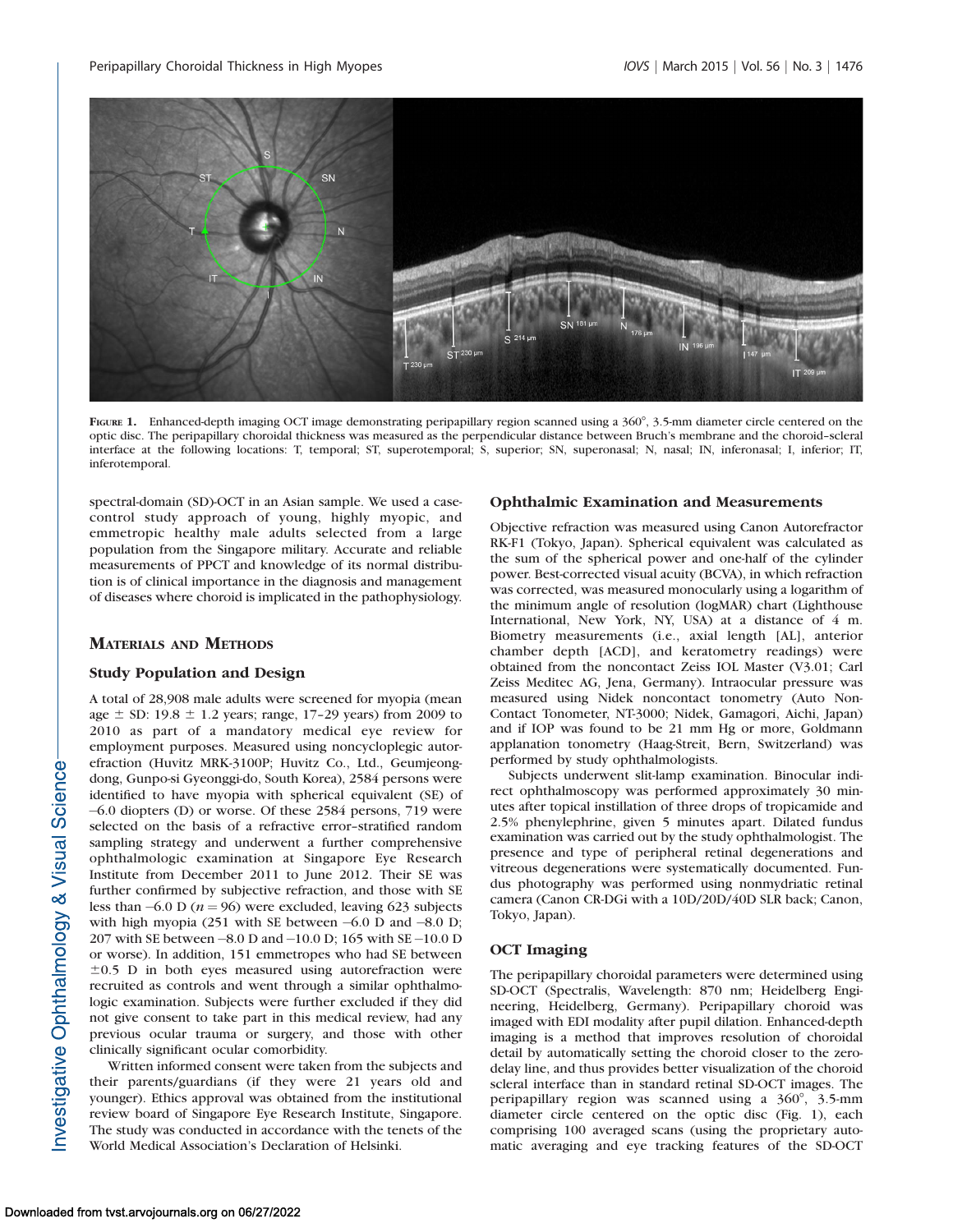

FIGURE 1. Enhanced-depth imaging OCT image demonstrating peripapillary region scanned using a 360°, 3.5-mm diameter circle centered on the optic disc. The peripapillary choroidal thickness was measured as the perpendicular distance between Bruch's membrane and the choroid–scleral interface at the following locations: T, temporal; ST, superotemporal; S, superior; SN, superonasal; N, nasal; IN, inferonasal; I, inferior; IT, inferotemporal.

spectral-domain (SD)-OCT in an Asian sample. We used a casecontrol study approach of young, highly myopic, and emmetropic healthy male adults selected from a large population from the Singapore military. Accurate and reliable measurements of PPCT and knowledge of its normal distribution is of clinical importance in the diagnosis and management of diseases where choroid is implicated in the pathophysiology.

# MATERIALS AND METHODS

# Study Population and Design

A total of 28,908 male adults were screened for myopia (mean age  $\pm$  SD: 19.8  $\pm$  1.2 years; range, 17-29 years) from 2009 to 2010 as part of a mandatory medical eye review for employment purposes. Measured using noncycloplegic autorefraction (Huvitz MRK-3100P; Huvitz Co., Ltd., Geumjeongdong, Gunpo-si Gyeonggi-do, South Korea), 2584 persons were identified to have myopia with spherical equivalent (SE) of -6.0 diopters (D) or worse. Of these 2584 persons, 719 were selected on the basis of a refractive error–stratified random sampling strategy and underwent a further comprehensive ophthalmologic examination at Singapore Eye Research Institute from December 2011 to June 2012. Their SE was further confirmed by subjective refraction, and those with SE less than  $-6.0$  D ( $n = 96$ ) were excluded, leaving 623 subjects with high myopia (251 with SE between  $-6.0$  D and  $-8.0$  D; 207 with SE between-8.0 D and-10.0 D; 165 with SE-10.0 D or worse). In addition, 151 emmetropes who had SE between  $\pm 0.5$  D in both eyes measured using autorefraction were recruited as controls and went through a similar ophthalmologic examination. Subjects were further excluded if they did not give consent to take part in this medical review, had any previous ocular trauma or surgery, and those with other clinically significant ocular comorbidity.

Written informed consent were taken from the subjects and their parents/guardians (if they were 21 years old and younger). Ethics approval was obtained from the institutional review board of Singapore Eye Research Institute, Singapore. The study was conducted in accordance with the tenets of the World Medical Association's Declaration of Helsinki.

# Ophthalmic Examination and Measurements

Objective refraction was measured using Canon Autorefractor RK-F1 (Tokyo, Japan). Spherical equivalent was calculated as the sum of the spherical power and one-half of the cylinder power. Best-corrected visual acuity (BCVA), in which refraction was corrected, was measured monocularly using a logarithm of the minimum angle of resolution (logMAR) chart (Lighthouse International, New York, NY, USA) at a distance of 4 m. Biometry measurements (i.e., axial length [AL], anterior chamber depth [ACD], and keratometry readings) were obtained from the noncontact Zeiss IOL Master (V3.01; Carl Zeiss Meditec AG, Jena, Germany). Intraocular pressure was measured using Nidek noncontact tonometry (Auto Non-Contact Tonometer, NT-3000; Nidek, Gamagori, Aichi, Japan) and if IOP was found to be 21 mm Hg or more, Goldmann applanation tonometry (Haag-Streit, Bern, Switzerland) was performed by study ophthalmologists.

Subjects underwent slit-lamp examination. Binocular indirect ophthalmoscopy was performed approximately 30 minutes after topical instillation of three drops of tropicamide and 2.5% phenylephrine, given 5 minutes apart. Dilated fundus examination was carried out by the study ophthalmologist. The presence and type of peripheral retinal degenerations and vitreous degenerations were systematically documented. Fundus photography was performed using nonmydriatic retinal camera (Canon CR-DGi with a 10D/20D/40D SLR back; Canon, Tokyo, Japan).

# OCT Imaging

The peripapillary choroidal parameters were determined using SD-OCT (Spectralis, Wavelength: 870 nm; Heidelberg Engineering, Heidelberg, Germany). Peripapillary choroid was imaged with EDI modality after pupil dilation. Enhanced-depth imaging is a method that improves resolution of choroidal detail by automatically setting the choroid closer to the zerodelay line, and thus provides better visualization of the choroid scleral interface than in standard retinal SD-OCT images. The peripapillary region was scanned using a  $360^{\circ}$ ,  $3.5$ -mm diameter circle centered on the optic disc (Fig. 1), each comprising 100 averaged scans (using the proprietary automatic averaging and eye tracking features of the SD-OCT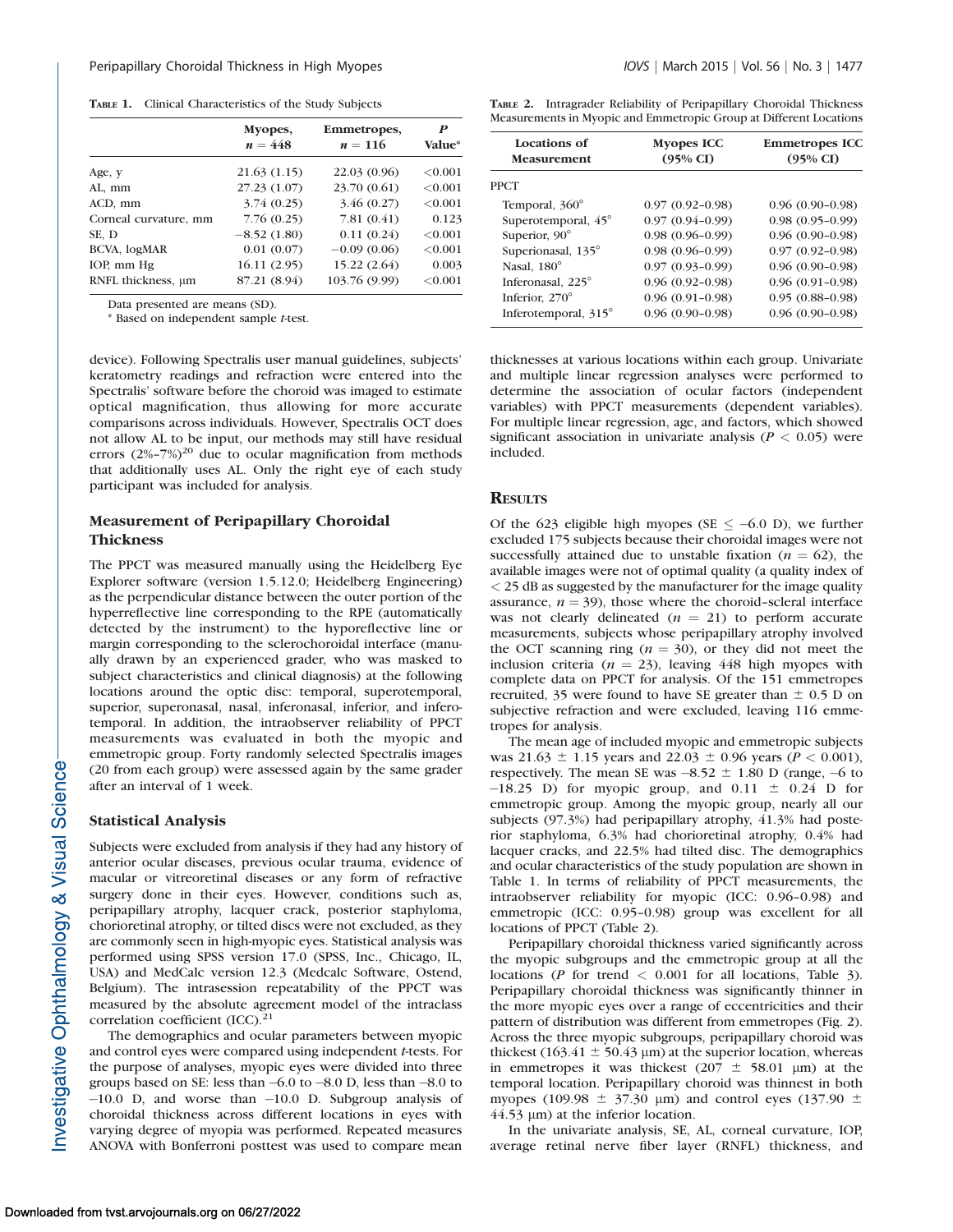TABLE 1. Clinical Characteristics of the Study Subjects

| Myopes,<br>$n = 448$ | Emmetropes,<br>$n = 116$ | P<br><b>Value*</b> |
|----------------------|--------------------------|--------------------|
| 21.63(1.15)          | 22.03 (0.96)             | < 0.001            |
| 27.23 (1.07)         | 23.70 (0.61)             | < 0.001            |
| 3.74(0.25)           | 3.46(0.27)               | < 0.001            |
| 7.76(0.25)           | 7.81(0.41)               | 0.123              |
| $-8.52(1.80)$        | 0.11(0.24)               | < 0.001            |
| 0.01(0.07)           | $-0.09(0.06)$            | < 0.001            |
| 16.11(2.95)          | 15.22 (2.64)             | 0.003              |
| 87.21 (8.94)         | 103.76 (9.99)            | < 0.001            |
|                      |                          |                    |

Data presented are means (SD).

\* Based on independent sample t-test.

device). Following Spectralis user manual guidelines, subjects' keratometry readings and refraction were entered into the Spectralis' software before the choroid was imaged to estimate optical magnification, thus allowing for more accurate comparisons across individuals. However, Spectralis OCT does not allow AL to be input, our methods may still have residual errors  $(2\% - 7\%)^{20}$  due to ocular magnification from methods that additionally uses AL. Only the right eye of each study participant was included for analysis.

# Measurement of Peripapillary Choroidal Thickness

The PPCT was measured manually using the Heidelberg Eye Explorer software (version 1.5.12.0; Heidelberg Engineering) as the perpendicular distance between the outer portion of the hyperreflective line corresponding to the RPE (automatically detected by the instrument) to the hyporeflective line or margin corresponding to the sclerochoroidal interface (manually drawn by an experienced grader, who was masked to subject characteristics and clinical diagnosis) at the following locations around the optic disc: temporal, superotemporal, superior, superonasal, nasal, inferonasal, inferior, and inferotemporal. In addition, the intraobserver reliability of PPCT measurements was evaluated in both the myopic and emmetropic group. Forty randomly selected Spectralis images (20 from each group) were assessed again by the same grader after an interval of 1 week.

# Statistical Analysis

Subjects were excluded from analysis if they had any history of anterior ocular diseases, previous ocular trauma, evidence of macular or vitreoretinal diseases or any form of refractive surgery done in their eyes. However, conditions such as, peripapillary atrophy, lacquer crack, posterior staphyloma, chorioretinal atrophy, or tilted discs were not excluded, as they are commonly seen in high-myopic eyes. Statistical analysis was performed using SPSS version 17.0 (SPSS, Inc., Chicago, IL, USA) and MedCalc version 12.3 (Medcalc Software, Ostend, Belgium). The intrasession repeatability of the PPCT was measured by the absolute agreement model of the intraclass correlation coefficient (ICC).<sup>21</sup>

The demographics and ocular parameters between myopic and control eyes were compared using independent t-tests. For the purpose of analyses, myopic eyes were divided into three groups based on SE: less than -6.0 to -8.0 D, less than -8.0 to -10.0 D, and worse than -10.0 D. Subgroup analysis of choroidal thickness across different locations in eyes with varying degree of myopia was performed. Repeated measures ANOVA with Bonferroni posttest was used to compare mean

TABLE 2. Intragrader Reliability of Peripapillary Choroidal Thickness Measurements in Myopic and Emmetropic Group at Different Locations

| Locations of<br><b>Measurement</b> | <b>Myopes ICC</b><br>$(95\% \text{ CI})$ |                     |
|------------------------------------|------------------------------------------|---------------------|
| <b>PPCT</b>                        |                                          |                     |
| Temporal, 360°                     | $0.97(0.92 - 0.98)$                      | $0.96(0.90-0.98)$   |
| Superotemporal, 45°                | $0.97(0.94 - 0.99)$                      | $0.98(0.95-0.99)$   |
| Superior, 90°                      | $0.98(0.96-0.99)$                        | $0.96(0.90-0.98)$   |
| Superionasal, 135°                 | $0.98(0.96-0.99)$                        | $0.97(0.92 - 0.98)$ |
| Nasal, 180°                        | $0.97(0.93 - 0.99)$                      | $0.96(0.90-0.98)$   |
| Inferonasal, 225°                  | $0.96(0.92 - 0.98)$                      | $0.96(0.91-0.98)$   |
| Inferior, 270°                     | $0.96(0.91-0.98)$                        | $0.95(0.88-0.98)$   |
| Inferotemporal, 315°               | $0.96(0.90-0.98)$                        | $0.96(0.90-0.98)$   |

thicknesses at various locations within each group. Univariate and multiple linear regression analyses were performed to determine the association of ocular factors (independent variables) with PPCT measurements (dependent variables). For multiple linear regression, age, and factors, which showed significant association in univariate analysis ( $P < 0.05$ ) were included.

# **RESULTS**

Of the 623 eligible high myopes (SE  $\leq -6.0$  D), we further excluded 175 subjects because their choroidal images were not successfully attained due to unstable fixation ( $n = 62$ ), the available images were not of optimal quality (a quality index of  $<$  25 dB as suggested by the manufacturer for the image quality assurance,  $n = 39$ ), those where the choroid-scleral interface was not clearly delineated  $(n = 21)$  to perform accurate measurements, subjects whose peripapillary atrophy involved the OCT scanning ring ( $n = 30$ ), or they did not meet the inclusion criteria ( $n = 23$ ), leaving 448 high myopes with complete data on PPCT for analysis. Of the 151 emmetropes recruited, 35 were found to have SE greater than  $\pm$  0.5 D on subjective refraction and were excluded, leaving 116 emmetropes for analysis.

The mean age of included myopic and emmetropic subjects was  $21.63 \pm 1.15$  years and  $22.03 \pm 0.96$  years ( $P < 0.001$ ), respectively. The mean SE was  $-8.52 \pm 1.80$  D (range,  $-6$  to  $-18.25$  D) for myopic group, and  $0.11 \pm 0.24$  D for emmetropic group. Among the myopic group, nearly all our subjects (97.3%) had peripapillary atrophy, 41.3% had posterior staphyloma, 6.3% had chorioretinal atrophy, 0.4% had lacquer cracks, and 22.5% had tilted disc. The demographics and ocular characteristics of the study population are shown in Table 1. In terms of reliability of PPCT measurements, the intraobserver reliability for myopic (ICC: 0.96–0.98) and emmetropic (ICC: 0.95–0.98) group was excellent for all locations of PPCT (Table 2).

Peripapillary choroidal thickness varied significantly across the myopic subgroups and the emmetropic group at all the locations (P for trend < 0.001 for all locations, Table 3). Peripapillary choroidal thickness was significantly thinner in the more myopic eyes over a range of eccentricities and their pattern of distribution was different from emmetropes (Fig. 2). Across the three myopic subgroups, peripapillary choroid was thickest (163.41  $\pm$  50.43 µm) at the superior location, whereas in emmetropes it was thickest ( $207 \pm 58.01$  µm) at the temporal location. Peripapillary choroid was thinnest in both myopes (109.98  $\pm$  37.30 µm) and control eyes (137.90  $\pm$  $44.53 \mu m$ ) at the inferior location.

In the univariate analysis, SE, AL, corneal curvature, IOP, average retinal nerve fiber layer (RNFL) thickness, and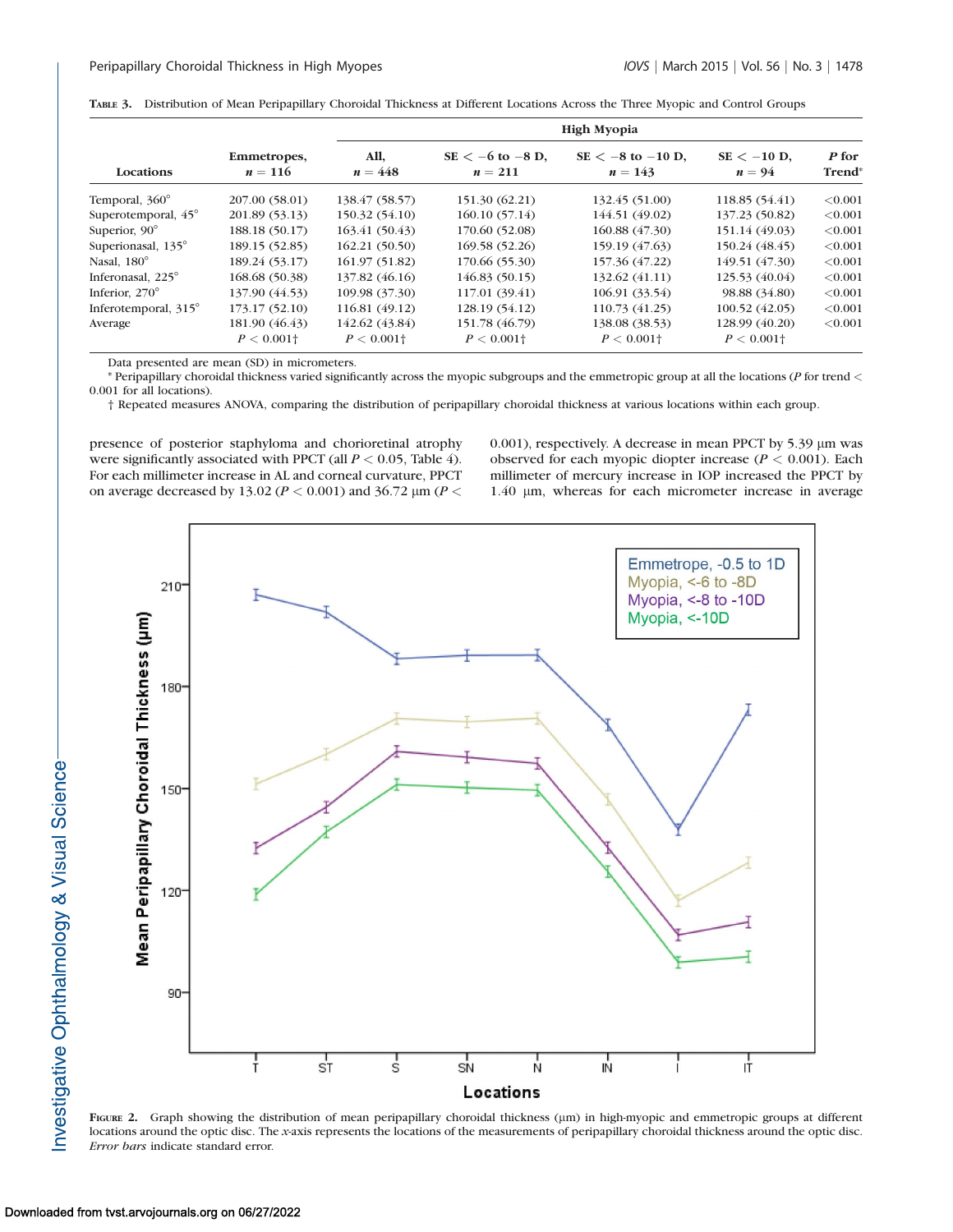|  |  | TABLE 3. Distribution of Mean Peripapillary Choroidal Thickness at Different Locations Across the Three Myopic and Control Groups |  |  |
|--|--|-----------------------------------------------------------------------------------------------------------------------------------|--|--|
|--|--|-----------------------------------------------------------------------------------------------------------------------------------|--|--|

| Locations             |                          |                          | <b>High Myopia</b>                |                                    |                           |                             |
|-----------------------|--------------------------|--------------------------|-----------------------------------|------------------------------------|---------------------------|-----------------------------|
|                       | Emmetropes,<br>$n = 116$ | All,<br>$n = 448$        | $SE < -6$ to $-8$ D,<br>$n = 211$ | $SE < -8$ to $-10$ D,<br>$n = 143$ | $SE < -10$ D,<br>$n = 94$ | P for<br>Trend <sup>*</sup> |
| Temporal, 360°        | 207.00 (58.01)           | 138.47 (58.57)           | 151.30 (62.21)                    | 132.45 (51.00)                     | 118.85 (54.41)            | < 0.001                     |
| Superotemporal, 45°   | 201.89 (53.13)           | 150.32 (54.10)           | 160.10(57.14)                     | 144.51 (49.02)                     | 137.23 (50.82)            | < 0.001                     |
| Superior, $90^\circ$  | 188.18 (50.17)           | 163.41(50.43)            | 170.60 (52.08)                    | 160.88(47.30)                      | 151.14 (49.03)            | < 0.001                     |
| Superionasal, 135°    | 189.15 (52.85)           | 162.21(50.50)            | 169.58 (52.26)                    | 159.19 (47.63)                     | 150.24 (48.45)            | < 0.001                     |
| Nasal, $180^\circ$    | 189.24 (53.17)           | 161.97(51.82)            | 170.66 (55.30)                    | 157.36 (47.22)                     | 149.51 (47.30)            | < 0.001                     |
| Inferonasal, 225°     | 168.68 (50.38)           | 137.82 (46.16)           | 146.83(50.15)                     | 132.62 (41.11)                     | 125.53 (40.04)            | < 0.001                     |
| Inferior, $270^\circ$ | 137.90 (44.53)           | 109.98 (37.30)           | 117.01 (39.41)                    | 106.91 (33.54)                     | 98.88 (34.80)             | < 0.001                     |
| Inferotemporal, 315°  | 173.17(52.10)            | 116.81 (49.12)           | 128.19 (54.12)                    | 110.73 (41.25)                     | 100.52(42.05)             | < 0.001                     |
| Average               | 181.90 (46.43)           | 142.62 (43.84)           | 151.78 (46.79)                    | 138.08 (38.53)                     | 128.99 (40.20)            | < 0.001                     |
|                       | $P < 0.001$ <sup>+</sup> | $P < 0.001$ <sup>+</sup> | $P < 0.001$ <sup>+</sup>          | $P < 0.001$ <sup>+</sup>           | $P < 0.001$ <sup>+</sup>  |                             |

Data presented are mean (SD) in micrometers.

\* Peripapillary choroidal thickness varied significantly across the myopic subgroups and the emmetropic group at all the locations (P for trend < 0.001 for all locations).

† Repeated measures ANOVA, comparing the distribution of peripapillary choroidal thickness at various locations within each group.

presence of posterior staphyloma and chorioretinal atrophy were significantly associated with PPCT (all  $P < 0.05$ , Table 4). For each millimeter increase in AL and corneal curvature, PPCT on average decreased by 13.02 ( $P < 0.001$ ) and 36.72  $\mu$ m ( $P <$  0.001), respectively. A decrease in mean PPCT by 5.39 µm was observed for each myopic diopter increase ( $P < 0.001$ ). Each millimeter of mercury increase in IOP increased the PPCT by 1.40 µm, whereas for each micrometer increase in average



FIGURE 2. Graph showing the distribution of mean peripapillary choroidal thickness ( $\mu$ m) in high-myopic and emmetropic groups at different locations around the optic disc. The x-axis represents the locations of the measurements of peripapillary choroidal thickness around the optic disc. Error bars indicate standard error.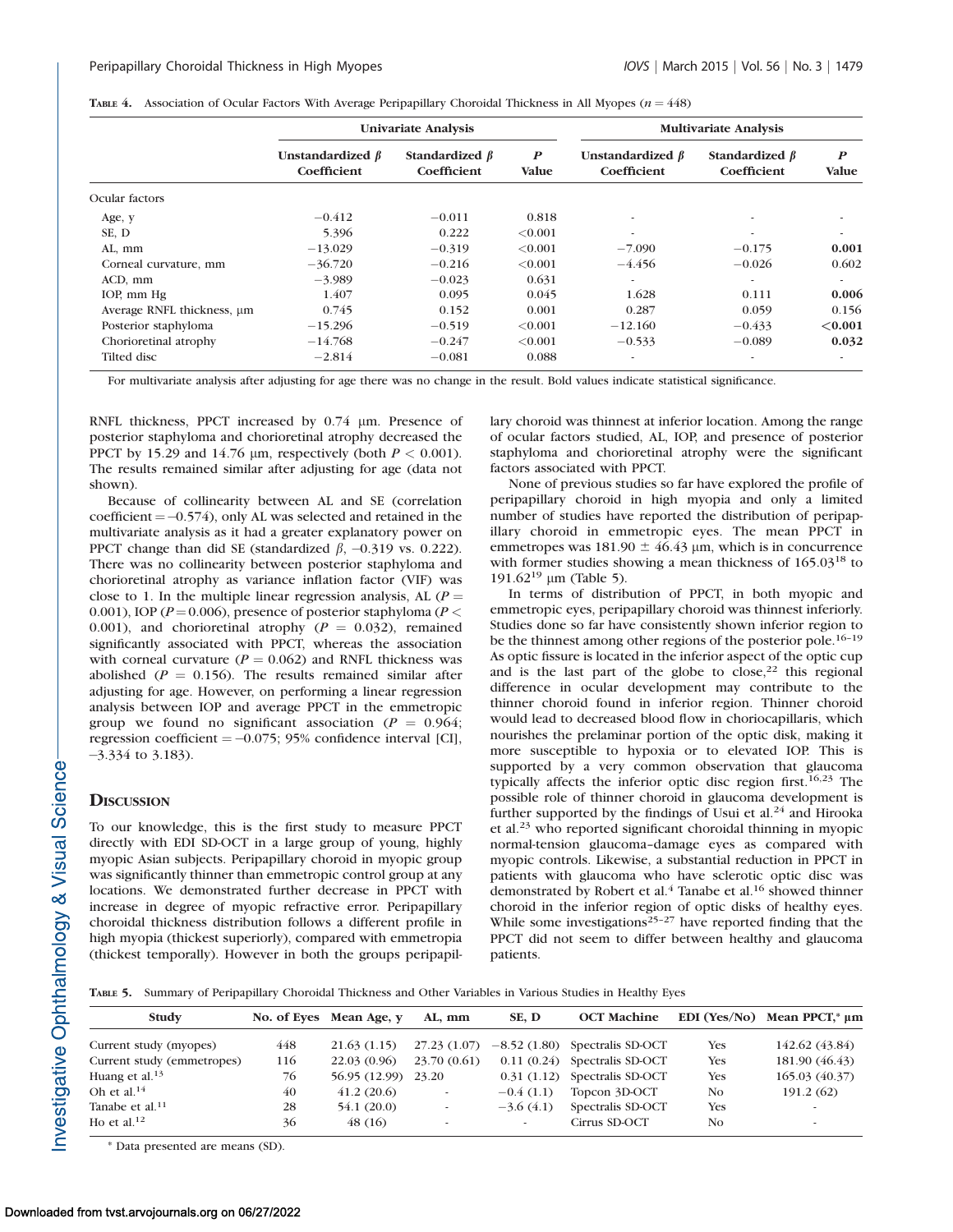|  |  |  |  |  |  | TABLE 4. Association of Ocular Factors With Average Peripapillary Choroidal Thickness in All Myopes ( $n = 448$ ) |  |  |  |  |  |  |
|--|--|--|--|--|--|-------------------------------------------------------------------------------------------------------------------|--|--|--|--|--|--|
|--|--|--|--|--|--|-------------------------------------------------------------------------------------------------------------------|--|--|--|--|--|--|

|                                 |                                       | <b>Univariate Analysis</b>                                       |         | <b>Multivariate Analysis</b>          |                                     |                                  |
|---------------------------------|---------------------------------------|------------------------------------------------------------------|---------|---------------------------------------|-------------------------------------|----------------------------------|
|                                 | Unstandardized $\beta$<br>Coefficient | Standardized $\beta$<br>$\boldsymbol{P}$<br>Coefficient<br>Value |         | Unstandardized $\beta$<br>Coefficient | Standardized $\beta$<br>Coefficient | $\boldsymbol{P}$<br><b>Value</b> |
| Ocular factors                  |                                       |                                                                  |         |                                       |                                     |                                  |
| Age, y                          | $-0.412$                              | $-0.011$                                                         | 0.818   | $\overline{\phantom{a}}$              |                                     | $\overline{\phantom{a}}$         |
| SE, D                           | 5.396                                 | 0.222                                                            | < 0.001 | $\overline{\phantom{a}}$              | ۰                                   | $\overline{\phantom{a}}$         |
| AL, mm                          | $-13.029$                             | $-0.319$                                                         | < 0.001 | $-7.090$                              | $-0.175$                            | 0.001                            |
| Corneal curvature, mm           | $-36.720$                             | $-0.216$                                                         | < 0.001 | $-4.456$                              | $-0.026$                            | 0.602                            |
| ACD, mm                         | $-3.989$                              | $-0.023$                                                         | 0.631   | $\sim$                                |                                     | $\sim$                           |
| IOP, mm Hg                      | 1.407                                 | 0.095                                                            | 0.045   | 1.628                                 | 0.111                               | 0.006                            |
| Average RNFL thickness, $\mu$ m | 0.745                                 | 0.152                                                            | 0.001   | 0.287                                 | 0.059                               | 0.156                            |
| Posterior staphyloma            | $-15.296$                             | $-0.519$                                                         | < 0.001 | $-12.160$                             | $-0.433$                            | < 0.001                          |
| Chorioretinal atrophy           | $-14.768$                             | $-0.247$                                                         | < 0.001 | $-0.533$                              | $-0.089$                            | 0.032                            |
| Tilted disc                     | $-2.814$                              | $-0.081$                                                         | 0.088   | ۰.                                    |                                     | $\overline{\phantom{a}}$         |

For multivariate analysis after adjusting for age there was no change in the result. Bold values indicate statistical significance.

RNFL thickness, PPCT increased by 0.74  $\mu$ m. Presence of posterior staphyloma and chorioretinal atrophy decreased the PPCT by 15.29 and 14.76  $\mu$ m, respectively (both  $P < 0.001$ ). The results remained similar after adjusting for age (data not shown).

Because of collinearity between AL and SE (correlation  $coefficient = -0.574$ ), only AL was selected and retained in the multivariate analysis as it had a greater explanatory power on PPCT change than did SE (standardized  $\beta$ , -0.319 vs. 0.222). There was no collinearity between posterior staphyloma and chorioretinal atrophy as variance inflation factor (VIF) was close to 1. In the multiple linear regression analysis, AL ( $P =$ 0.001), IOP ( $P = 0.006$ ), presence of posterior staphyloma ( $P <$ 0.001), and chorioretinal atrophy ( $P = 0.032$ ), remained significantly associated with PPCT, whereas the association with corneal curvature ( $P = 0.062$ ) and RNFL thickness was abolished ( $P = 0.156$ ). The results remained similar after adjusting for age. However, on performing a linear regression analysis between IOP and average PPCT in the emmetropic group we found no significant association ( $P = 0.964$ ; regression coefficient  $= -0.075$ ; 95% confidence interval [CI], -3.334 to 3.183).

# **DISCUSSION**

To our knowledge, this is the first study to measure PPCT directly with EDI SD-OCT in a large group of young, highly myopic Asian subjects. Peripapillary choroid in myopic group was significantly thinner than emmetropic control group at any locations. We demonstrated further decrease in PPCT with increase in degree of myopic refractive error. Peripapillary choroidal thickness distribution follows a different profile in high myopia (thickest superiorly), compared with emmetropia (thickest temporally). However in both the groups peripapillary choroid was thinnest at inferior location. Among the range of ocular factors studied, AL, IOP, and presence of posterior staphyloma and chorioretinal atrophy were the significant factors associated with PPCT.

None of previous studies so far have explored the profile of peripapillary choroid in high myopia and only a limited number of studies have reported the distribution of peripapillary choroid in emmetropic eyes. The mean PPCT in emmetropes was  $181.90 \pm 46.43$  µm, which is in concurrence with former studies showing a mean thickness of  $165.03^{18}$  to 191.62<sup>19</sup> um (Table 5).

In terms of distribution of PPCT, in both myopic and emmetropic eyes, peripapillary choroid was thinnest inferiorly. Studies done so far have consistently shown inferior region to be the thinnest among other regions of the posterior pole.<sup>16-19</sup> As optic fissure is located in the inferior aspect of the optic cup and is the last part of the globe to  $close$ ,<sup>22</sup> this regional difference in ocular development may contribute to the thinner choroid found in inferior region. Thinner choroid would lead to decreased blood flow in choriocapillaris, which nourishes the prelaminar portion of the optic disk, making it more susceptible to hypoxia or to elevated IOP. This is supported by a very common observation that glaucoma typically affects the inferior optic disc region first.<sup>16,23</sup> The possible role of thinner choroid in glaucoma development is further supported by the findings of Usui et al. $^{24}$  and Hirooka et al. $^{23}$  who reported significant choroidal thinning in myopic normal-tension glaucoma–damage eyes as compared with myopic controls. Likewise, a substantial reduction in PPCT in patients with glaucoma who have sclerotic optic disc was demonstrated by Robert et al.<sup>4</sup> Tanabe et al.<sup>16</sup> showed thinner choroid in the inferior region of optic disks of healthy eyes. While some investigations<sup>25-27</sup> have reported finding that the PPCT did not seem to differ between healthy and glaucoma patients.

TABLE 5. Summary of Peripapillary Choroidal Thickness and Other Variables in Various Studies in Healthy Eyes

| Study                       |     | No. of Eves Mean Age, y | AL, mm                   | SE, D       | <b>OCT Machine</b>               |            | EDI (Yes/No) Mean PPCT, $* \mu m$ |
|-----------------------------|-----|-------------------------|--------------------------|-------------|----------------------------------|------------|-----------------------------------|
| Current study (myopes)      | 448 | 21.63(1.15)             | 27.23(1.07)              |             | $-8.52$ (1.80) Spectralis SD-OCT | Yes        | 142.62 (43.84)                    |
| Current study (emmetropes)  | 116 | 22.03(0.96)             | 23.70 (0.61)             |             | $0.11(0.24)$ Spectralis SD-OCT   | <b>Yes</b> | 181.90 (46.43)                    |
| Huang et al. <sup>13</sup>  | 76  | 56.95 (12.99)           | 23.20                    |             | 0.31 (1.12) Spectralis SD-OCT    | <b>Yes</b> | 165.03 (40.37)                    |
| Oh et al. $^{14}$           | 40  | 41.2(20.6)              | $\overline{\phantom{a}}$ | $-0.4(1.1)$ | Topcon 3D-OCT                    | No.        | 191.2(62)                         |
| Tanabe et al. <sup>11</sup> | 28  | 54.1(20.0)              | $\overline{\phantom{a}}$ | $-3.6(4.1)$ | Spectralis SD-OCT                | <b>Yes</b> | $\sim$                            |
| Ho et al. $12$              | 36  | 48(16)                  | $\overline{\phantom{a}}$ |             | Cirrus SD-OCT                    | No.        | ۰                                 |

\* Data presented are means (SD).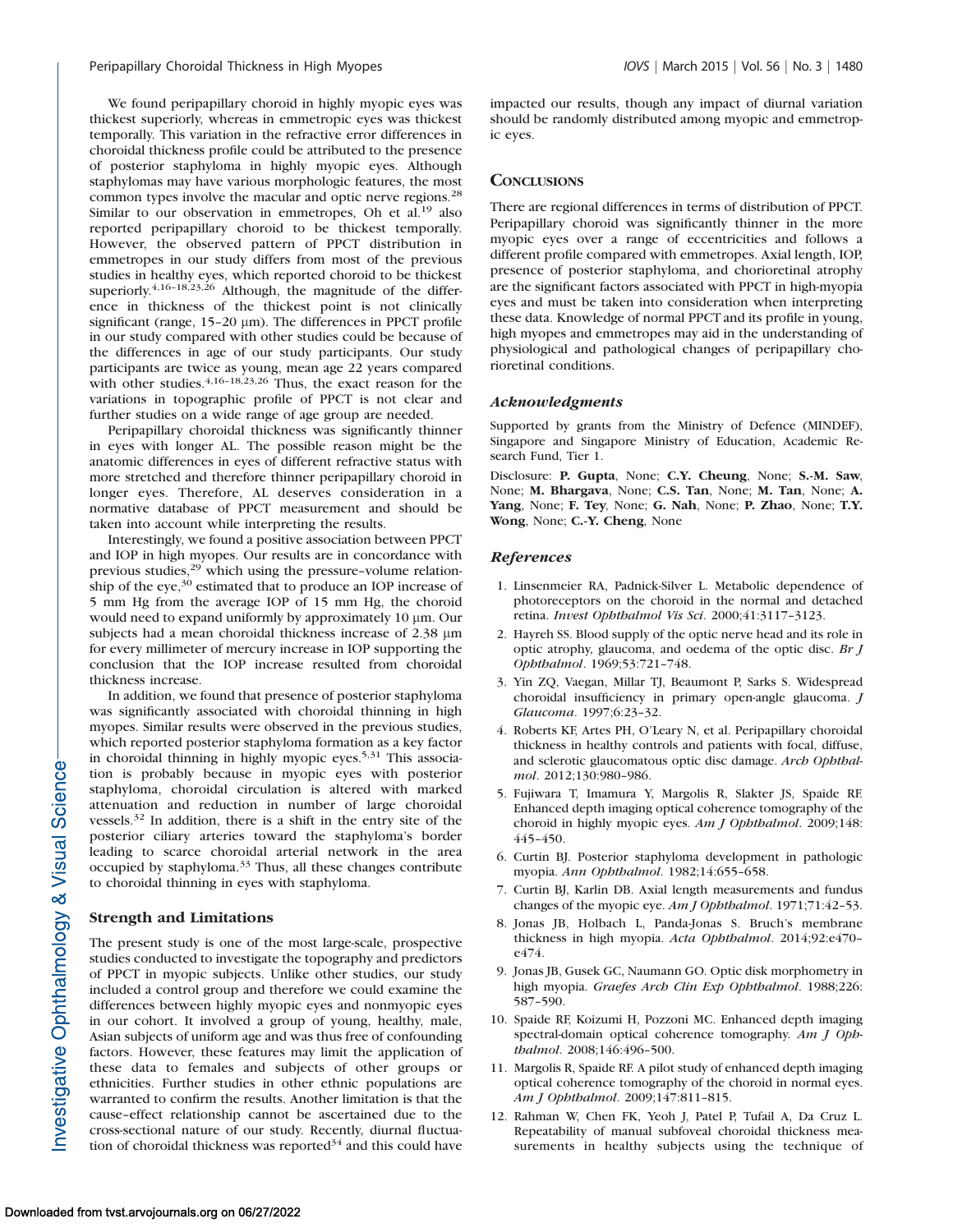We found peripapillary choroid in highly myopic eyes was thickest superiorly, whereas in emmetropic eyes was thickest temporally. This variation in the refractive error differences in choroidal thickness profile could be attributed to the presence of posterior staphyloma in highly myopic eyes. Although staphylomas may have various morphologic features, the most common types involve the macular and optic nerve regions.<sup>28</sup> Similar to our observation in emmetropes, Oh et al.<sup>19</sup> also reported peripapillary choroid to be thickest temporally. However, the observed pattern of PPCT distribution in emmetropes in our study differs from most of the previous studies in healthy eyes, which reported choroid to be thickest superiorly.<sup>4,16-18,23,26</sup> Although, the magnitude of the difference in thickness of the thickest point is not clinically significant (range,  $15-20 \mu m$ ). The differences in PPCT profile in our study compared with other studies could be because of the differences in age of our study participants. Our study participants are twice as young, mean age 22 years compared with other studies.<sup>4,16-18,23,26</sup> Thus, the exact reason for the variations in topographic profile of PPCT is not clear and further studies on a wide range of age group are needed.

Peripapillary choroidal thickness was significantly thinner in eyes with longer AL. The possible reason might be the anatomic differences in eyes of different refractive status with more stretched and therefore thinner peripapillary choroid in longer eyes. Therefore, AL deserves consideration in a normative database of PPCT measurement and should be taken into account while interpreting the results.

Interestingly, we found a positive association between PPCT and IOP in high myopes. Our results are in concordance with previous studies,<sup>29</sup> which using the pressure–volume relationship of the  $eye$ ,  $30$  estimated that to produce an IOP increase of 5 mm Hg from the average IOP of 15 mm Hg, the choroid would need to expand uniformly by approximately 10  $\mu$ m. Our subjects had a mean choroidal thickness increase of 2.38  $\mu$ m for every millimeter of mercury increase in IOP supporting the conclusion that the IOP increase resulted from choroidal thickness increase.

In addition, we found that presence of posterior staphyloma was significantly associated with choroidal thinning in high myopes. Similar results were observed in the previous studies, which reported posterior staphyloma formation as a key factor in choroidal thinning in highly myopic eyes.<sup>5,31</sup> This association is probably because in myopic eyes with posterior staphyloma, choroidal circulation is altered with marked attenuation and reduction in number of large choroidal vessels.<sup>32</sup> In addition, there is a shift in the entry site of the posterior ciliary arteries toward the staphyloma's border leading to scarce choroidal arterial network in the area occupied by staphyloma.<sup>33</sup> Thus, all these changes contribute to choroidal thinning in eyes with staphyloma.

#### Strength and Limitations

The present study is one of the most large-scale, prospective studies conducted to investigate the topography and predictors of PPCT in myopic subjects. Unlike other studies, our study included a control group and therefore we could examine the differences between highly myopic eyes and nonmyopic eyes in our cohort. It involved a group of young, healthy, male, Asian subjects of uniform age and was thus free of confounding factors. However, these features may limit the application of these data to females and subjects of other groups or ethnicities. Further studies in other ethnic populations are warranted to confirm the results. Another limitation is that the cause–effect relationship cannot be ascertained due to the cross-sectional nature of our study. Recently, diurnal fluctuation of choroidal thickness was reported $34$  and this could have

impacted our results, though any impact of diurnal variation should be randomly distributed among myopic and emmetropic eyes.

## **CONCLUSIONS**

There are regional differences in terms of distribution of PPCT. Peripapillary choroid was significantly thinner in the more myopic eyes over a range of eccentricities and follows a different profile compared with emmetropes. Axial length, IOP, presence of posterior staphyloma, and chorioretinal atrophy are the significant factors associated with PPCT in high-myopia eyes and must be taken into consideration when interpreting these data. Knowledge of normal PPCT and its profile in young, high myopes and emmetropes may aid in the understanding of physiological and pathological changes of peripapillary chorioretinal conditions.

#### Acknowledgments

Supported by grants from the Ministry of Defence (MINDEF), Singapore and Singapore Ministry of Education, Academic Research Fund, Tier 1.

Disclosure: P. Gupta, None; C.Y. Cheung, None; S.-M. Saw, None; M. Bhargava, None; C.S. Tan, None; M. Tan, None; A. Yang, None; F. Tey, None; G. Nah, None; P. Zhao, None; T.Y. Wong, None; C.-Y. Cheng, None

#### **References**

- 1. Linsenmeier RA, Padnick-Silver L. Metabolic dependence of photoreceptors on the choroid in the normal and detached retina. Invest Ophthalmol Vis Sci. 2000;41:3117–3123.
- 2. Hayreh SS. Blood supply of the optic nerve head and its role in optic atrophy, glaucoma, and oedema of the optic disc. Br J Ophthalmol. 1969;53:721–748.
- 3. Yin ZQ, Vaegan, Millar TJ, Beaumont P, Sarks S. Widespread choroidal insufficiency in primary open-angle glaucoma. J Glaucoma. 1997;6:23–32.
- 4. Roberts KF, Artes PH, O'Leary N, et al. Peripapillary choroidal thickness in healthy controls and patients with focal, diffuse, and sclerotic glaucomatous optic disc damage. Arch Ophthalmol. 2012;130:980–986.
- 5. Fujiwara T, Imamura Y, Margolis R, Slakter JS, Spaide RF. Enhanced depth imaging optical coherence tomography of the choroid in highly myopic eyes. Am J Ophthalmol. 2009;148: 445–450.
- 6. Curtin BJ. Posterior staphyloma development in pathologic myopia. Ann Ophthalmol. 1982;14:655–658.
- 7. Curtin BJ, Karlin DB. Axial length measurements and fundus changes of the myopic eye. Am J Ophthalmol. 1971;71:42-53.
- 8. Jonas JB, Holbach L, Panda-Jonas S. Bruch's membrane thickness in high myopia. Acta Ophthalmol. 2014;92:e470– e474.
- 9. Jonas JB, Gusek GC, Naumann GO. Optic disk morphometry in high myopia. Graefes Arch Clin Exp Ophthalmol. 1988;226: 587–590.
- 10. Spaide RF, Koizumi H, Pozzoni MC. Enhanced depth imaging spectral-domain optical coherence tomography. Am J Ophthalmol. 2008;146:496–500.
- 11. Margolis R, Spaide RF. A pilot study of enhanced depth imaging optical coherence tomography of the choroid in normal eyes. Am J Ophthalmol. 2009;147:811–815.
- 12. Rahman W, Chen FK, Yeoh J, Patel P, Tufail A, Da Cruz L. Repeatability of manual subfoveal choroidal thickness measurements in healthy subjects using the technique of